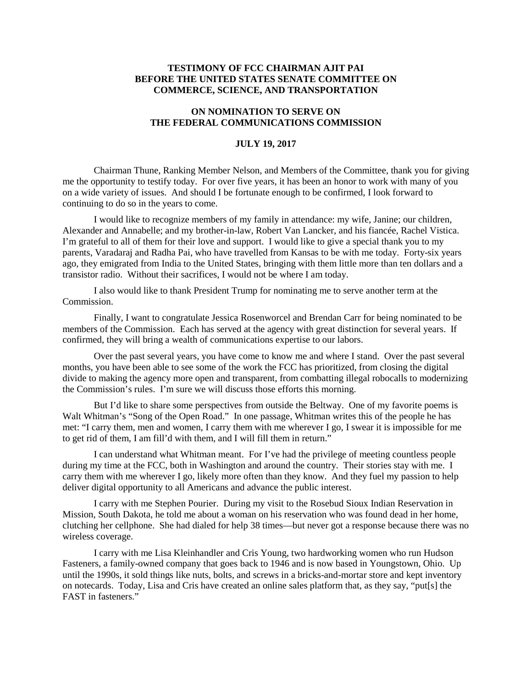## **TESTIMONY OF FCC CHAIRMAN AJIT PAI BEFORE THE UNITED STATES SENATE COMMITTEE ON COMMERCE, SCIENCE, AND TRANSPORTATION**

## **ON NOMINATION TO SERVE ON THE FEDERAL COMMUNICATIONS COMMISSION**

## **JULY 19, 2017**

Chairman Thune, Ranking Member Nelson, and Members of the Committee, thank you for giving me the opportunity to testify today. For over five years, it has been an honor to work with many of you on a wide variety of issues. And should I be fortunate enough to be confirmed, I look forward to continuing to do so in the years to come.

I would like to recognize members of my family in attendance: my wife, Janine; our children, Alexander and Annabelle; and my brother-in-law, Robert Van Lancker, and his fiancée, Rachel Vistica. I'm grateful to all of them for their love and support. I would like to give a special thank you to my parents, Varadaraj and Radha Pai, who have travelled from Kansas to be with me today. Forty-six years ago, they emigrated from India to the United States, bringing with them little more than ten dollars and a transistor radio. Without their sacrifices, I would not be where I am today.

I also would like to thank President Trump for nominating me to serve another term at the Commission.

Finally, I want to congratulate Jessica Rosenworcel and Brendan Carr for being nominated to be members of the Commission. Each has served at the agency with great distinction for several years. If confirmed, they will bring a wealth of communications expertise to our labors.

Over the past several years, you have come to know me and where I stand. Over the past several months, you have been able to see some of the work the FCC has prioritized, from closing the digital divide to making the agency more open and transparent, from combatting illegal robocalls to modernizing the Commission's rules. I'm sure we will discuss those efforts this morning.

But I'd like to share some perspectives from outside the Beltway. One of my favorite poems is Walt Whitman's "Song of the Open Road." In one passage, Whitman writes this of the people he has met: "I carry them, men and women, I carry them with me wherever I go, I swear it is impossible for me to get rid of them, I am fill'd with them, and I will fill them in return."

I can understand what Whitman meant. For I've had the privilege of meeting countless people during my time at the FCC, both in Washington and around the country. Their stories stay with me. I carry them with me wherever I go, likely more often than they know. And they fuel my passion to help deliver digital opportunity to all Americans and advance the public interest.

I carry with me Stephen Pourier. During my visit to the Rosebud Sioux Indian Reservation in Mission, South Dakota, he told me about a woman on his reservation who was found dead in her home, clutching her cellphone. She had dialed for help 38 times—but never got a response because there was no wireless coverage.

I carry with me Lisa Kleinhandler and Cris Young, two hardworking women who run Hudson Fasteners, a family-owned company that goes back to 1946 and is now based in Youngstown, Ohio. Up until the 1990s, it sold things like nuts, bolts, and screws in a bricks-and-mortar store and kept inventory on notecards. Today, Lisa and Cris have created an online sales platform that, as they say, "put[s] the FAST in fasteners."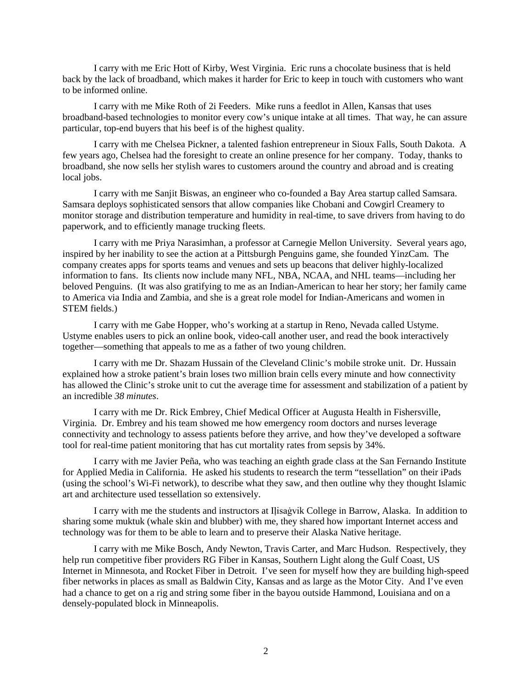I carry with me Eric Hott of Kirby, West Virginia. Eric runs a chocolate business that is held back by the lack of broadband, which makes it harder for Eric to keep in touch with customers who want to be informed online.

I carry with me Mike Roth of 2i Feeders. Mike runs a feedlot in Allen, Kansas that uses broadband-based technologies to monitor every cow's unique intake at all times. That way, he can assure particular, top-end buyers that his beef is of the highest quality.

I carry with me Chelsea Pickner, a talented fashion entrepreneur in Sioux Falls, South Dakota. A few years ago, Chelsea had the foresight to create an online presence for her company. Today, thanks to broadband, she now sells her stylish wares to customers around the country and abroad and is creating local jobs.

I carry with me Sanjit Biswas, an engineer who co-founded a Bay Area startup called Samsara. Samsara deploys sophisticated sensors that allow companies like Chobani and Cowgirl Creamery to monitor storage and distribution temperature and humidity in real-time, to save drivers from having to do paperwork, and to efficiently manage trucking fleets.

I carry with me Priya Narasimhan, a professor at Carnegie Mellon University. Several years ago, inspired by her inability to see the action at a Pittsburgh Penguins game, she founded YinzCam. The company creates apps for sports teams and venues and sets up beacons that deliver highly-localized information to fans. Its clients now include many NFL, NBA, NCAA, and NHL teams—including her beloved Penguins. (It was also gratifying to me as an Indian-American to hear her story; her family came to America via India and Zambia, and she is a great role model for Indian-Americans and women in STEM fields.)

I carry with me Gabe Hopper, who's working at a startup in Reno, Nevada called Ustyme. Ustyme enables users to pick an online book, video-call another user, and read the book interactively together—something that appeals to me as a father of two young children.

I carry with me Dr. Shazam Hussain of the Cleveland Clinic's mobile stroke unit. Dr. Hussain explained how a stroke patient's brain loses two million brain cells every minute and how connectivity has allowed the Clinic's stroke unit to cut the average time for assessment and stabilization of a patient by an incredible *38 minutes*.

I carry with me Dr. Rick Embrey, Chief Medical Officer at Augusta Health in Fishersville, Virginia. Dr. Embrey and his team showed me how emergency room doctors and nurses leverage connectivity and technology to assess patients before they arrive, and how they've developed a software tool for real-time patient monitoring that has cut mortality rates from sepsis by 34%.

I carry with me Javier Peña, who was teaching an eighth grade class at the San Fernando Institute for Applied Media in California. He asked his students to research the term "tessellation" on their iPads (using the school's Wi-Fi network), to describe what they saw, and then outline why they thought Islamic art and architecture used tessellation so extensively.

I carry with me the students and instructors at Iḷisaġvik College in Barrow, Alaska. In addition to sharing some muktuk (whale skin and blubber) with me, they shared how important Internet access and technology was for them to be able to learn and to preserve their Alaska Native heritage.

I carry with me Mike Bosch, Andy Newton, Travis Carter, and Marc Hudson. Respectively, they help run competitive fiber providers RG Fiber in Kansas, Southern Light along the Gulf Coast, US Internet in Minnesota, and Rocket Fiber in Detroit. I've seen for myself how they are building high-speed fiber networks in places as small as Baldwin City, Kansas and as large as the Motor City. And I've even had a chance to get on a rig and string some fiber in the bayou outside Hammond, Louisiana and on a densely-populated block in Minneapolis.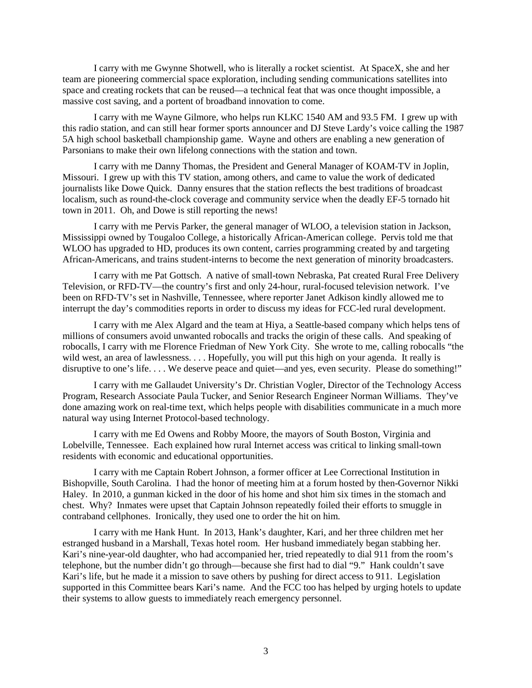I carry with me Gwynne Shotwell, who is literally a rocket scientist. At SpaceX, she and her team are pioneering commercial space exploration, including sending communications satellites into space and creating rockets that can be reused—a technical feat that was once thought impossible, a massive cost saving, and a portent of broadband innovation to come.

I carry with me Wayne Gilmore, who helps run KLKC 1540 AM and 93.5 FM. I grew up with this radio station, and can still hear former sports announcer and DJ Steve Lardy's voice calling the 1987 5A high school basketball championship game. Wayne and others are enabling a new generation of Parsonians to make their own lifelong connections with the station and town.

I carry with me Danny Thomas, the President and General Manager of KOAM-TV in Joplin, Missouri. I grew up with this TV station, among others, and came to value the work of dedicated journalists like Dowe Quick. Danny ensures that the station reflects the best traditions of broadcast localism, such as round-the-clock coverage and community service when the deadly EF-5 tornado hit town in 2011. Oh, and Dowe is still reporting the news!

I carry with me Pervis Parker, the general manager of WLOO, a television station in Jackson, Mississippi owned by Tougaloo College, a historically African-American college. Pervis told me that WLOO has upgraded to HD, produces its own content, carries programming created by and targeting African-Americans, and trains student-interns to become the next generation of minority broadcasters.

I carry with me Pat Gottsch. A native of small-town Nebraska, Pat created Rural Free Delivery Television, or RFD-TV—the country's first and only 24-hour, rural-focused television network. I've been on RFD-TV's set in Nashville, Tennessee, where reporter Janet Adkison kindly allowed me to interrupt the day's commodities reports in order to discuss my ideas for FCC-led rural development.

I carry with me Alex Algard and the team at Hiya, a Seattle-based company which helps tens of millions of consumers avoid unwanted robocalls and tracks the origin of these calls. And speaking of robocalls, I carry with me Florence Friedman of New York City. She wrote to me, calling robocalls "the wild west, an area of lawlessness. . . . Hopefully, you will put this high on your agenda. It really is disruptive to one's life. . . . We deserve peace and quiet—and yes, even security. Please do something!"

I carry with me Gallaudet University's Dr. Christian Vogler, Director of the Technology Access Program, Research Associate Paula Tucker, and Senior Research Engineer Norman Williams. They've done amazing work on real-time text, which helps people with disabilities communicate in a much more natural way using Internet Protocol-based technology.

I carry with me Ed Owens and Robby Moore, the mayors of South Boston, Virginia and Lobelville, Tennessee. Each explained how rural Internet access was critical to linking small-town residents with economic and educational opportunities.

I carry with me Captain Robert Johnson, a former officer at Lee Correctional Institution in Bishopville, South Carolina. I had the honor of meeting him at a forum hosted by then-Governor Nikki Haley. In 2010, a gunman kicked in the door of his home and shot him six times in the stomach and chest. Why? Inmates were upset that Captain Johnson repeatedly foiled their efforts to smuggle in contraband cellphones. Ironically, they used one to order the hit on him.

I carry with me Hank Hunt. In 2013, Hank's daughter, Kari, and her three children met her estranged husband in a Marshall, Texas hotel room. Her husband immediately began stabbing her. Kari's nine-year-old daughter, who had accompanied her, tried repeatedly to dial 911 from the room's telephone, but the number didn't go through—because she first had to dial "9." Hank couldn't save Kari's life, but he made it a mission to save others by pushing for direct access to 911. Legislation supported in this Committee bears Kari's name. And the FCC too has helped by urging hotels to update their systems to allow guests to immediately reach emergency personnel.